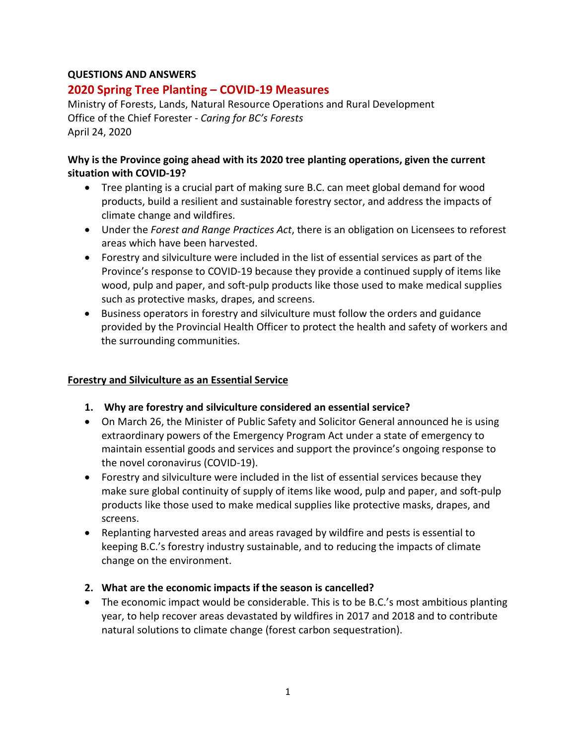### **QUESTIONS AND ANSWERS**

# **2020 Spring Tree Planting – COVID-19 Measures**

Ministry of Forests, Lands, Natural Resource Operations and Rural Development Office of the Chief Forester - *Caring for BC's Forests* April 24, 2020

#### **Why is the Province going ahead with its 2020 tree planting operations, given the current situation with COVID-19?**

- Tree planting is a crucial part of making sure B.C. can meet global demand for wood products, build a resilient and sustainable forestry sector, and address the impacts of climate change and wildfires.
- Under the *Forest and Range Practices Act*, there is an obligation on Licensees to reforest areas which have been harvested.
- Forestry and silviculture were included in the list of essential services as part of the Province's response to COVID-19 because they provide a continued supply of items like wood, pulp and paper, and soft-pulp products like those used to make medical supplies such as protective masks, drapes, and screens.
- Business operators in forestry and silviculture must follow the orders and guidance provided by the Provincial Health Officer to protect the health and safety of workers and the surrounding communities.

#### **Forestry and Silviculture as an Essential Service**

- **1. Why are forestry and silviculture considered an essential service?**
- On March 26, the Minister of Public Safety and Solicitor General announced he is using extraordinary powers of the Emergency Program Act under a state of emergency to maintain essential goods and services and support the province's ongoing response to the novel coronavirus (COVID-19).
- Forestry and silviculture were included in the list of essential services because they make sure global continuity of supply of items like wood, pulp and paper, and soft-pulp products like those used to make medical supplies like protective masks, drapes, and screens.
- Replanting harvested areas and areas ravaged by wildfire and pests is essential to keeping B.C.'s forestry industry sustainable, and to reducing the impacts of climate change on the environment.

#### **2. What are the economic impacts if the season is cancelled?**

• The economic impact would be considerable. This is to be B.C.'s most ambitious planting year, to help recover areas devastated by wildfires in 2017 and 2018 and to contribute natural solutions to climate change (forest carbon sequestration).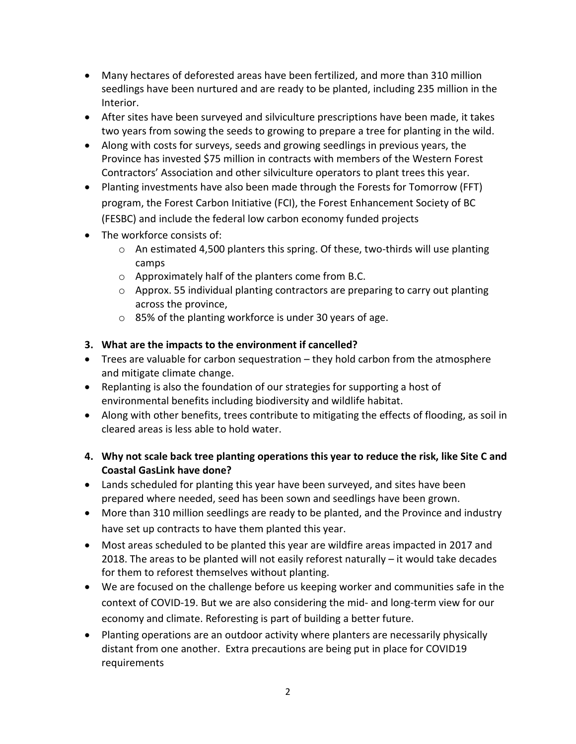- Many hectares of deforested areas have been fertilized, and more than 310 million seedlings have been nurtured and are ready to be planted, including 235 million in the Interior.
- After sites have been surveyed and silviculture prescriptions have been made, it takes two years from sowing the seeds to growing to prepare a tree for planting in the wild.
- Along with costs for surveys, seeds and growing seedlings in previous years, the Province has invested \$75 million in contracts with members of the Western Forest Contractors' Association and other silviculture operators to plant trees this year.
- Planting investments have also been made through the Forests for Tomorrow (FFT) program, the Forest Carbon Initiative (FCI), the Forest Enhancement Society of BC (FESBC) and include the federal low carbon economy funded projects
- The workforce consists of:
	- $\circ$  An estimated 4,500 planters this spring. Of these, two-thirds will use planting camps
	- o Approximately half of the planters come from B.C.
	- $\circ$  Approx. 55 individual planting contractors are preparing to carry out planting across the province,
	- o 85% of the planting workforce is under 30 years of age.

# **3. What are the impacts to the environment if cancelled?**

- Trees are valuable for carbon sequestration they hold carbon from the atmosphere and mitigate climate change.
- Replanting is also the foundation of our strategies for supporting a host of environmental benefits including biodiversity and wildlife habitat.
- Along with other benefits, trees contribute to mitigating the effects of flooding, as soil in cleared areas is less able to hold water.
- **4. Why not scale back tree planting operations this year to reduce the risk, like Site C and Coastal GasLink have done?**
- Lands scheduled for planting this year have been surveyed, and sites have been prepared where needed, seed has been sown and seedlings have been grown.
- More than 310 million seedlings are ready to be planted, and the Province and industry have set up contracts to have them planted this year.
- Most areas scheduled to be planted this year are wildfire areas impacted in 2017 and 2018. The areas to be planted will not easily reforest naturally – it would take decades for them to reforest themselves without planting.
- We are focused on the challenge before us keeping worker and communities safe in the context of COVID-19. But we are also considering the mid- and long-term view for our economy and climate. Reforesting is part of building a better future.
- Planting operations are an outdoor activity where planters are necessarily physically distant from one another. Extra precautions are being put in place for COVID19 requirements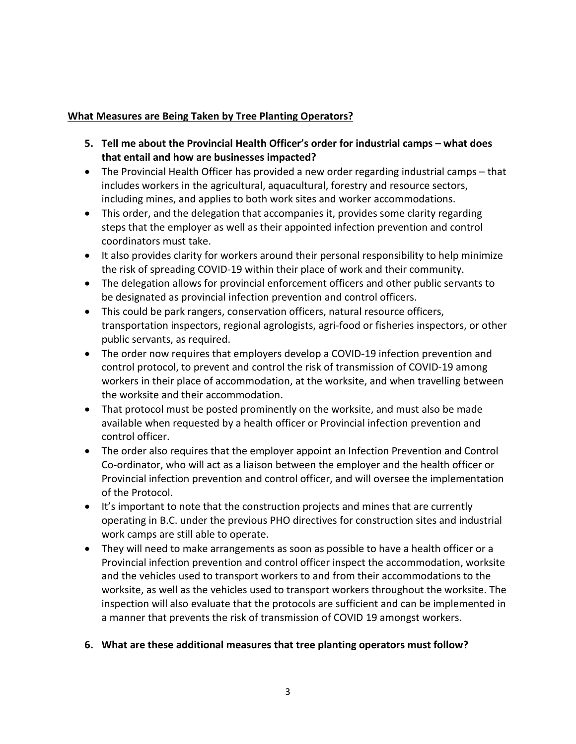#### **What Measures are Being Taken by Tree Planting Operators?**

- **5. Tell me about the Provincial Health Officer's order for industrial camps – what does that entail and how are businesses impacted?**
- The Provincial Health Officer has provided a new order regarding industrial camps that includes workers in the agricultural, aquacultural, forestry and resource sectors, including mines, and applies to both work sites and worker accommodations.
- This order, and the delegation that accompanies it, provides some clarity regarding steps that the employer as well as their appointed infection prevention and control coordinators must take.
- It also provides clarity for workers around their personal responsibility to help minimize the risk of spreading COVID-19 within their place of work and their community.
- The delegation allows for provincial enforcement officers and other public servants to be designated as provincial infection prevention and control officers.
- This could be park rangers, conservation officers, natural resource officers, transportation inspectors, regional agrologists, agri-food or fisheries inspectors, or other public servants, as required.
- The order now requires that employers develop a COVID-19 infection prevention and control protocol, to prevent and control the risk of transmission of COVID-19 among workers in their place of accommodation, at the worksite, and when travelling between the worksite and their accommodation.
- That protocol must be posted prominently on the worksite, and must also be made available when requested by a health officer or Provincial infection prevention and control officer.
- The order also requires that the employer appoint an Infection Prevention and Control Co-ordinator, who will act as a liaison between the employer and the health officer or Provincial infection prevention and control officer, and will oversee the implementation of the Protocol.
- It's important to note that the construction projects and mines that are currently operating in B.C. under the previous PHO directives for construction sites and industrial work camps are still able to operate.
- They will need to make arrangements as soon as possible to have a health officer or a Provincial infection prevention and control officer inspect the accommodation, worksite and the vehicles used to transport workers to and from their accommodations to the worksite, as well as the vehicles used to transport workers throughout the worksite. The inspection will also evaluate that the protocols are sufficient and can be implemented in a manner that prevents the risk of transmission of COVID 19 amongst workers.

# **6. What are these additional measures that tree planting operators must follow?**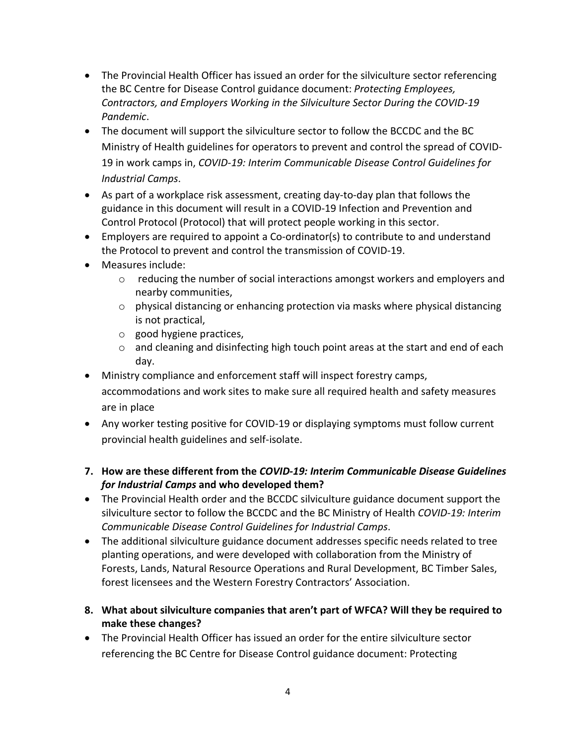- The Provincial Health Officer has issued an order for the silviculture sector referencing the BC Centre for Disease Control guidance document: *Protecting Employees, Contractors, and Employers Working in the Silviculture Sector During the COVID-19 Pandemic*.
- The document will support the silviculture sector to follow the BCCDC and the BC Ministry of Health guidelines for operators to prevent and control the spread of COVID-19 in work camps in, *COVID-19: Interim Communicable Disease Control Guidelines for Industrial Camps*.
- As part of a workplace risk assessment, creating day-to-day plan that follows the guidance in this document will result in a COVID-19 Infection and Prevention and Control Protocol (Protocol) that will protect people working in this sector.
- Employers are required to appoint a Co-ordinator(s) to contribute to and understand the Protocol to prevent and control the transmission of COVID-19.
- Measures include:
	- o reducing the number of social interactions amongst workers and employers and nearby communities,
	- o physical distancing or enhancing protection via masks where physical distancing is not practical,
	- o good hygiene practices,
	- $\circ$  and cleaning and disinfecting high touch point areas at the start and end of each day.
- Ministry compliance and enforcement staff will inspect forestry camps, accommodations and work sites to make sure all required health and safety measures are in place
- Any worker testing positive for COVID-19 or displaying symptoms must follow current provincial health guidelines and self-isolate.
- **7. How are these different from the** *COVID-19: Interim Communicable Disease Guidelines for Industrial Camps* **and who developed them?**
- The Provincial Health order and the BCCDC silviculture guidance document support the silviculture sector to follow the BCCDC and the BC Ministry of Health *COVID-19: Interim Communicable Disease Control Guidelines for Industrial Camps*.
- The additional silviculture guidance document addresses specific needs related to tree planting operations, and were developed with collaboration from the Ministry of Forests, Lands, Natural Resource Operations and Rural Development, BC Timber Sales, forest licensees and the Western Forestry Contractors' Association.
- **8. What about silviculture companies that aren't part of WFCA? Will they be required to make these changes?**
- The Provincial Health Officer has issued an order for the entire silviculture sector referencing the BC Centre for Disease Control guidance document: Protecting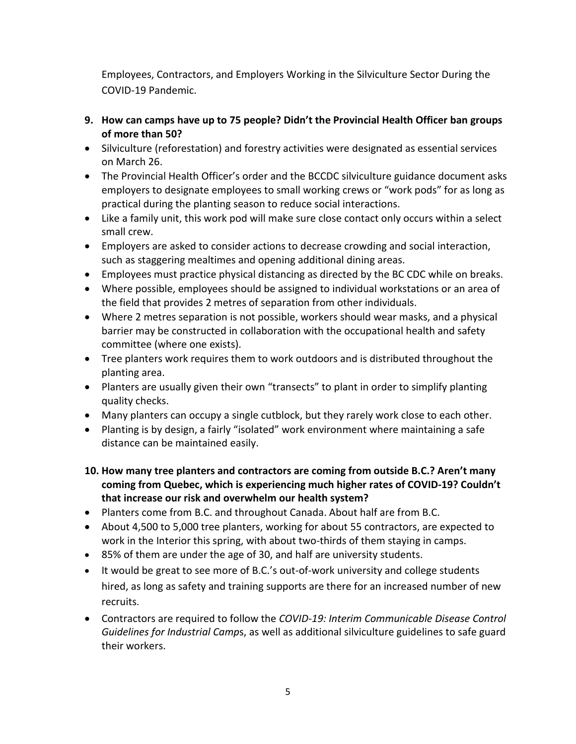Employees, Contractors, and Employers Working in the Silviculture Sector During the COVID-19 Pandemic.

- **9. How can camps have up to 75 people? Didn't the Provincial Health Officer ban groups of more than 50?**
- Silviculture (reforestation) and forestry activities were designated as essential services on March 26.
- The Provincial Health Officer's order and the BCCDC silviculture guidance document asks employers to designate employees to small working crews or "work pods" for as long as practical during the planting season to reduce social interactions.
- Like a family unit, this work pod will make sure close contact only occurs within a select small crew.
- Employers are asked to consider actions to decrease crowding and social interaction, such as staggering mealtimes and opening additional dining areas.
- Employees must practice physical distancing as directed by the BC CDC while on breaks.
- Where possible, employees should be assigned to individual workstations or an area of the field that provides 2 metres of separation from other individuals.
- Where 2 metres separation is not possible, workers should wear masks, and a physical barrier may be constructed in collaboration with the occupational health and safety committee (where one exists).
- Tree planters work requires them to work outdoors and is distributed throughout the planting area.
- Planters are usually given their own "transects" to plant in order to simplify planting quality checks.
- Many planters can occupy a single cutblock, but they rarely work close to each other.
- Planting is by design, a fairly "isolated" work environment where maintaining a safe distance can be maintained easily.
- **10. How many tree planters and contractors are coming from outside B.C.? Aren't many coming from Quebec, which is experiencing much higher rates of COVID-19? Couldn't that increase our risk and overwhelm our health system?**
- Planters come from B.C. and throughout Canada. About half are from B.C.
- About 4,500 to 5,000 tree planters, working for about 55 contractors, are expected to work in the Interior this spring, with about two-thirds of them staying in camps.
- 85% of them are under the age of 30, and half are university students.
- It would be great to see more of B.C.'s out-of-work university and college students hired, as long as safety and training supports are there for an increased number of new recruits.
- Contractors are required to follow the *COVID-19: Interim Communicable Disease Control Guidelines for Industrial Camp*s, as well as additional silviculture guidelines to safe guard their workers.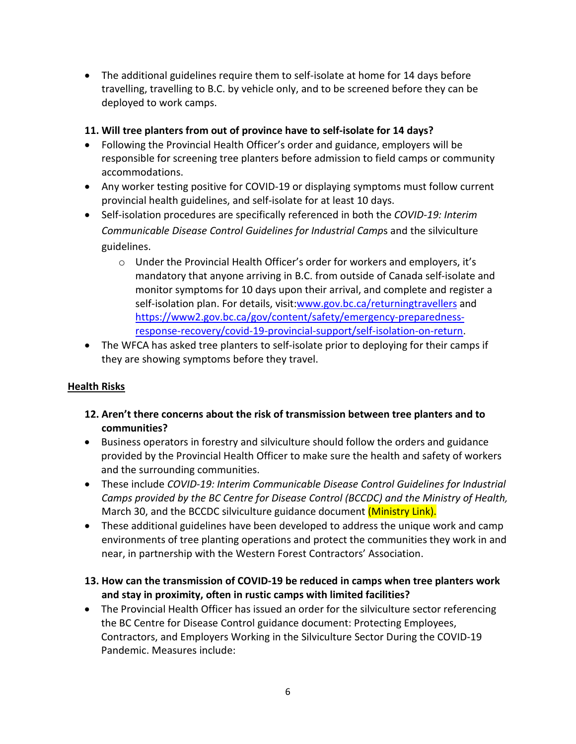• The additional guidelines require them to self-isolate at home for 14 days before travelling, travelling to B.C. by vehicle only, and to be screened before they can be deployed to work camps.

### **11. Will tree planters from out of province have to self-isolate for 14 days?**

- Following the Provincial Health Officer's order and guidance, employers will be responsible for screening tree planters before admission to field camps or community accommodations.
- Any worker testing positive for COVID-19 or displaying symptoms must follow current provincial health guidelines, and self-isolate for at least 10 days.
- Self-isolation procedures are specifically referenced in both the *COVID-19: Interim Communicable Disease Control Guidelines for Industrial Camp*s and the silviculture guidelines.
	- o Under the Provincial Health Officer's order for workers and employers, it's mandatory that anyone arriving in B.C. from outside of Canada self-isolate and monitor symptoms for 10 days upon their arrival, and complete and register a self-isolation plan. For details, visit[:www.gov.bc.ca/returningtravellers](http://www.gov.bc.ca/returningtravellers) and [https://www2.gov.bc.ca/gov/content/safety/emergency-preparedness](https://www2.gov.bc.ca/gov/content/safety/emergency-preparedness-response-recovery/covid-19-provincial-support/self-isolation-on-return)[response-recovery/covid-19-provincial-support/self-isolation-on-return.](https://www2.gov.bc.ca/gov/content/safety/emergency-preparedness-response-recovery/covid-19-provincial-support/self-isolation-on-return)
- The WFCA has asked tree planters to self-isolate prior to deploying for their camps if they are showing symptoms before they travel.

# **Health Risks**

- **12. Aren't there concerns about the risk of transmission between tree planters and to communities?**
- Business operators in forestry and silviculture should follow the orders and guidance provided by the Provincial Health Officer to make sure the health and safety of workers and the surrounding communities.
- These include *COVID-19: Interim Communicable Disease Control Guidelines for Industrial Camps provided by the BC Centre for Disease Control (BCCDC) and the Ministry of Health,*  March 30, and the BCCDC silviculture guidance document (Ministry Link).
- These additional guidelines have been developed to address the unique work and camp environments of tree planting operations and protect the communities they work in and near, in partnership with the Western Forest Contractors' Association.
- **13. How can the transmission of COVID-19 be reduced in camps when tree planters work and stay in proximity, often in rustic camps with limited facilities?**
- The Provincial Health Officer has issued an order for the silviculture sector referencing the BC Centre for Disease Control guidance document: Protecting Employees, Contractors, and Employers Working in the Silviculture Sector During the COVID-19 Pandemic. Measures include: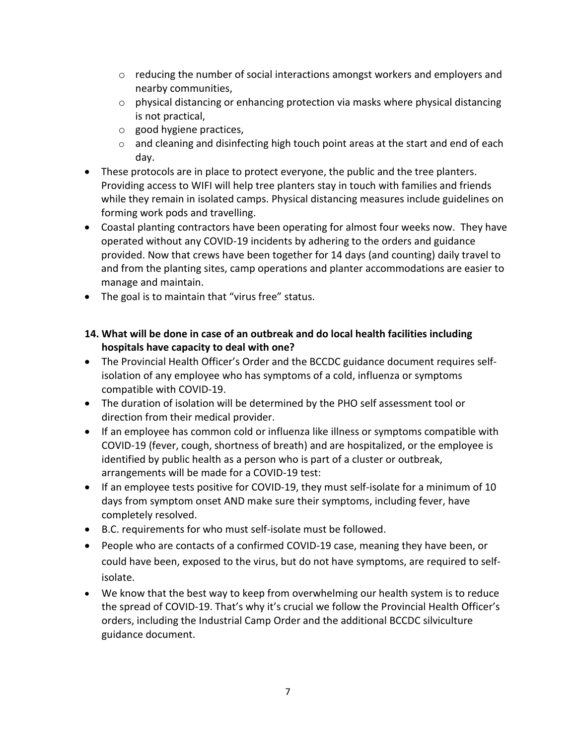- $\circ$  reducing the number of social interactions amongst workers and employers and nearby communities,
- $\circ$  physical distancing or enhancing protection via masks where physical distancing is not practical,
- o good hygiene practices,
- $\circ$  and cleaning and disinfecting high touch point areas at the start and end of each day.
- These protocols are in place to protect everyone, the public and the tree planters. Providing access to WIFI will help tree planters stay in touch with families and friends while they remain in isolated camps. Physical distancing measures include guidelines on forming work pods and travelling.
- Coastal planting contractors have been operating for almost four weeks now. They have operated without any COVID-19 incidents by adhering to the orders and guidance provided. Now that crews have been together for 14 days (and counting) daily travel to and from the planting sites, camp operations and planter accommodations are easier to manage and maintain.
- The goal is to maintain that "virus free" status.
- **14. What will be done in case of an outbreak and do local health facilities including hospitals have capacity to deal with one?**
- The Provincial Health Officer's Order and the BCCDC guidance document requires selfisolation of any employee who has symptoms of a cold, influenza or symptoms compatible with COVID-19.
- The duration of isolation will be determined by the PHO self assessment tool or direction from their medical provider.
- If an employee has common cold or influenza like illness or symptoms compatible with COVID-19 (fever, cough, shortness of breath) and are hospitalized, or the employee is identified by public health as a person who is part of a cluster or outbreak, arrangements will be made for a COVID-19 test:
- If an employee tests positive for COVID-19, they must self-isolate for a minimum of 10 days from symptom onset AND make sure their symptoms, including fever, have completely resolved.
- B.C. requirements for who must self-isolate must be followed.
- People who are contacts of a confirmed COVID-19 case, meaning they have been, or could have been, exposed to the virus, but do not have symptoms, are required to selfisolate.
- We know that the best way to keep from overwhelming our health system is to reduce the spread of COVID-19. That's why it's crucial we follow the Provincial Health Officer's orders, including the Industrial Camp Order and the additional BCCDC silviculture guidance document.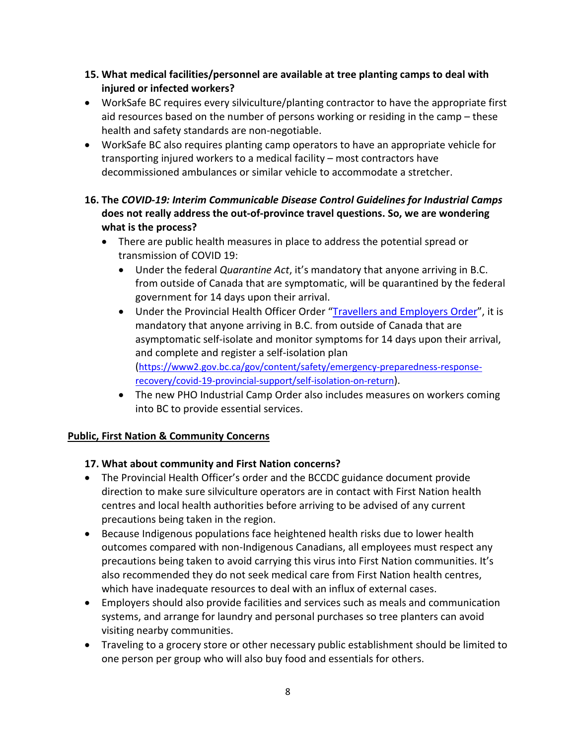- **15. What medical facilities/personnel are available at tree planting camps to deal with injured or infected workers?**
- WorkSafe BC requires every silviculture/planting contractor to have the appropriate first aid resources based on the number of persons working or residing in the camp – these health and safety standards are non-negotiable.
- WorkSafe BC also requires planting camp operators to have an appropriate vehicle for transporting injured workers to a medical facility – most contractors have decommissioned ambulances or similar vehicle to accommodate a stretcher.
- **16. The** *COVID-19: Interim Communicable Disease Control Guidelines for Industrial Camps* **does not really address the out-of-province travel questions. So, we are wondering what is the process?** 
	- There are public health measures in place to address the potential spread or transmission of COVID 19:
		- Under the federal *Quarantine Act*, it's mandatory that anyone arriving in B.C. from outside of Canada that are symptomatic, will be quarantined by the federal government for 14 days upon their arrival.
		- Under the Provincial Health Officer Order ["Travellers and Employers Order"](https://www2.gov.bc.ca/assets/gov/health/about-bc-s-health-care-system/office-of-the-provincial-health-officer/covid-19/covid-19-pho-order-travellers-employers.pdf), it is mandatory that anyone arriving in B.C. from outside of Canada that are asymptomatic self-isolate and monitor symptoms for 14 days upon their arrival, and complete and register a self-isolation plan [\(https://www2.gov.bc.ca/gov/content/safety/emergency-preparedness-response](https://www2.gov.bc.ca/gov/content/safety/emergency-preparedness-response-recovery/covid-19-provincial-support/self-isolation-on-return)[recovery/covid-19-provincial-support/self-isolation-on-return\)](https://www2.gov.bc.ca/gov/content/safety/emergency-preparedness-response-recovery/covid-19-provincial-support/self-isolation-on-return).
		- The new PHO Industrial Camp Order also includes measures on workers coming into BC to provide essential services.

# **Public, First Nation & Community Concerns**

# **17. What about community and First Nation concerns?**

- The Provincial Health Officer's order and the BCCDC guidance document provide direction to make sure silviculture operators are in contact with First Nation health centres and local health authorities before arriving to be advised of any current precautions being taken in the region.
- Because Indigenous populations face heightened health risks due to lower health outcomes compared with non-Indigenous Canadians, all employees must respect any precautions being taken to avoid carrying this virus into First Nation communities. It's also recommended they do not seek medical care from First Nation health centres, which have inadequate resources to deal with an influx of external cases.
- Employers should also provide facilities and services such as meals and communication systems, and arrange for laundry and personal purchases so tree planters can avoid visiting nearby communities.
- Traveling to a grocery store or other necessary public establishment should be limited to one person per group who will also buy food and essentials for others.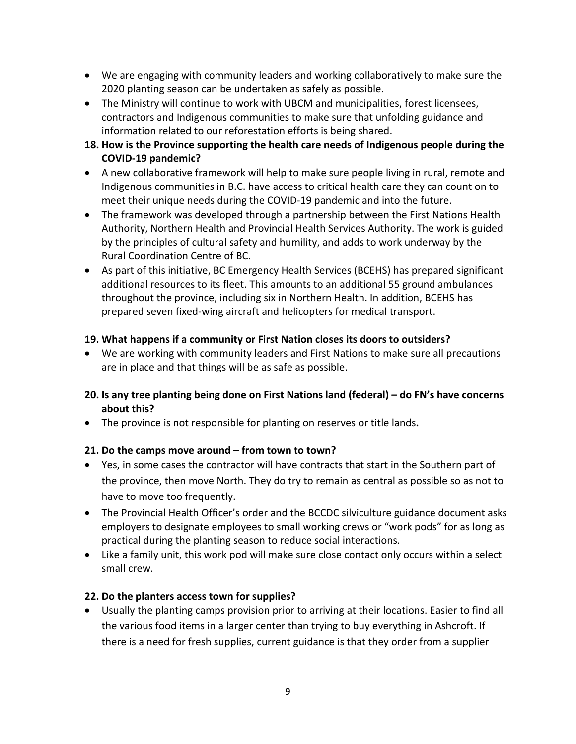- We are engaging with community leaders and working collaboratively to make sure the 2020 planting season can be undertaken as safely as possible.
- The Ministry will continue to work with UBCM and municipalities, forest licensees, contractors and Indigenous communities to make sure that unfolding guidance and information related to our reforestation efforts is being shared.
- **18. How is the Province supporting the health care needs of Indigenous people during the COVID-19 pandemic?**
- A new collaborative framework will help to make sure people living in rural, remote and Indigenous communities in B.C. have access to critical health care they can count on to meet their unique needs during the COVID-19 pandemic and into the future.
- The framework was developed through a partnership between the First Nations Health Authority, Northern Health and Provincial Health Services Authority. The work is guided by the principles of cultural safety and humility, and adds to work underway by the Rural Coordination Centre of BC.
- As part of this initiative, BC Emergency Health Services (BCEHS) has prepared significant additional resources to its fleet. This amounts to an additional 55 ground ambulances throughout the province, including six in Northern Health. In addition, BCEHS has prepared seven fixed-wing aircraft and helicopters for medical transport.

#### **19. What happens if a community or First Nation closes its doors to outsiders?**

• We are working with community leaders and First Nations to make sure all precautions are in place and that things will be as safe as possible.

### **20. Is any tree planting being done on First Nations land (federal) – do FN's have concerns about this?**

• The province is not responsible for planting on reserves or title lands**.**

#### **21. Do the camps move around – from town to town?**

- Yes, in some cases the contractor will have contracts that start in the Southern part of the province, then move North. They do try to remain as central as possible so as not to have to move too frequently.
- The Provincial Health Officer's order and the BCCDC silviculture guidance document asks employers to designate employees to small working crews or "work pods" for as long as practical during the planting season to reduce social interactions.
- Like a family unit, this work pod will make sure close contact only occurs within a select small crew.

#### **22. Do the planters access town for supplies?**

• Usually the planting camps provision prior to arriving at their locations. Easier to find all the various food items in a larger center than trying to buy everything in Ashcroft. If there is a need for fresh supplies, current guidance is that they order from a supplier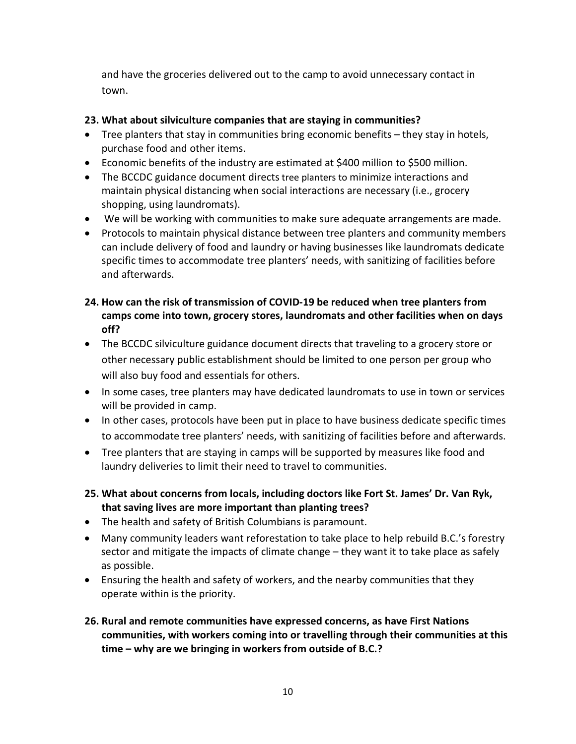and have the groceries delivered out to the camp to avoid unnecessary contact in town.

### **23. What about silviculture companies that are staying in communities?**

- Tree planters that stay in communities bring economic benefits they stay in hotels, purchase food and other items.
- Economic benefits of the industry are estimated at \$400 million to \$500 million.
- The BCCDC guidance document directs tree planters to minimize interactions and maintain physical distancing when social interactions are necessary (i.e., grocery shopping, using laundromats).
- We will be working with communities to make sure adequate arrangements are made.
- Protocols to maintain physical distance between tree planters and community members can include delivery of food and laundry or having businesses like laundromats dedicate specific times to accommodate tree planters' needs, with sanitizing of facilities before and afterwards.
- **24. How can the risk of transmission of COVID-19 be reduced when tree planters from camps come into town, grocery stores, laundromats and other facilities when on days off?**
- The BCCDC silviculture guidance document directs that traveling to a grocery store or other necessary public establishment should be limited to one person per group who will also buy food and essentials for others.
- In some cases, tree planters may have dedicated laundromats to use in town or services will be provided in camp.
- In other cases, protocols have been put in place to have business dedicate specific times to accommodate tree planters' needs, with sanitizing of facilities before and afterwards.
- Tree planters that are staying in camps will be supported by measures like food and laundry deliveries to limit their need to travel to communities.
- **25. What about concerns from locals, including doctors like Fort St. James' Dr. Van Ryk, that saving lives are more important than planting trees?**
- The health and safety of British Columbians is paramount.
- Many community leaders want reforestation to take place to help rebuild B.C.'s forestry sector and mitigate the impacts of climate change – they want it to take place as safely as possible.
- Ensuring the health and safety of workers, and the nearby communities that they operate within is the priority.
- **26. Rural and remote communities have expressed concerns, as have First Nations communities, with workers coming into or travelling through their communities at this time – why are we bringing in workers from outside of B.C.?**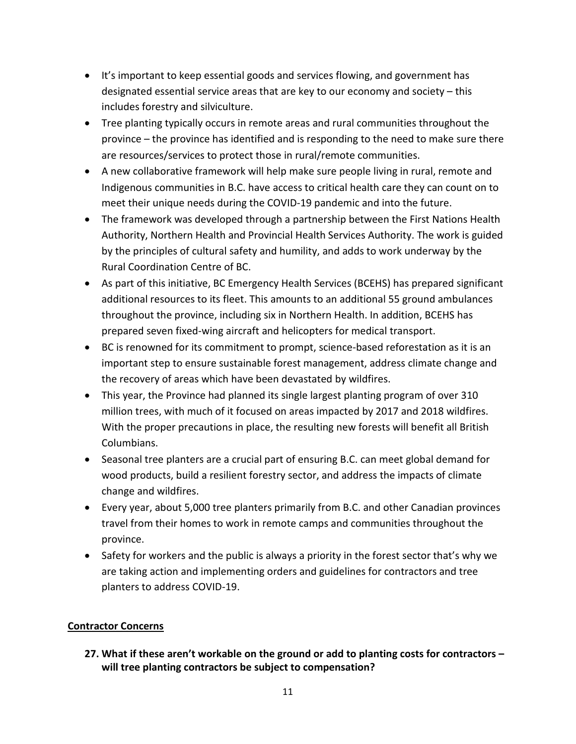- It's important to keep essential goods and services flowing, and government has designated essential service areas that are key to our economy and society – this includes forestry and silviculture.
- Tree planting typically occurs in remote areas and rural communities throughout the province – the province has identified and is responding to the need to make sure there are resources/services to protect those in rural/remote communities.
- A new collaborative framework will help make sure people living in rural, remote and Indigenous communities in B.C. have access to critical health care they can count on to meet their unique needs during the COVID-19 pandemic and into the future.
- The framework was developed through a partnership between the First Nations Health Authority, Northern Health and Provincial Health Services Authority. The work is guided by the principles of cultural safety and humility, and adds to work underway by the Rural Coordination Centre of BC.
- As part of this initiative, BC Emergency Health Services (BCEHS) has prepared significant additional resources to its fleet. This amounts to an additional 55 ground ambulances throughout the province, including six in Northern Health. In addition, BCEHS has prepared seven fixed-wing aircraft and helicopters for medical transport.
- BC is renowned for its commitment to prompt, science-based reforestation as it is an important step to ensure sustainable forest management, address climate change and the recovery of areas which have been devastated by wildfires.
- This year, the Province had planned its single largest planting program of over 310 million trees, with much of it focused on areas impacted by 2017 and 2018 wildfires. With the proper precautions in place, the resulting new forests will benefit all British Columbians.
- Seasonal tree planters are a crucial part of ensuring B.C. can meet global demand for wood products, build a resilient forestry sector, and address the impacts of climate change and wildfires.
- Every year, about 5,000 tree planters primarily from B.C. and other Canadian provinces travel from their homes to work in remote camps and communities throughout the province.
- Safety for workers and the public is always a priority in the forest sector that's why we are taking action and implementing orders and guidelines for contractors and tree planters to address COVID-19.

#### **Contractor Concerns**

**27. What if these aren't workable on the ground or add to planting costs for contractors – will tree planting contractors be subject to compensation?**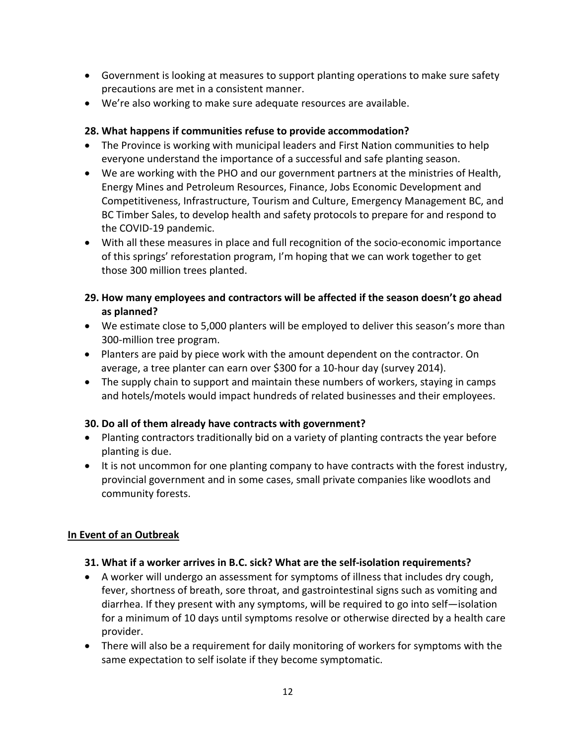- Government is looking at measures to support planting operations to make sure safety precautions are met in a consistent manner.
- We're also working to make sure adequate resources are available.

### **28. What happens if communities refuse to provide accommodation?**

- The Province is working with municipal leaders and First Nation communities to help everyone understand the importance of a successful and safe planting season.
- We are working with the PHO and our government partners at the ministries of Health, Energy Mines and Petroleum Resources, Finance, Jobs Economic Development and Competitiveness, Infrastructure, Tourism and Culture, Emergency Management BC, and BC Timber Sales, to develop health and safety protocols to prepare for and respond to the COVID-19 pandemic.
- With all these measures in place and full recognition of the socio-economic importance of this springs' reforestation program, I'm hoping that we can work together to get those 300 million trees planted.

### **29. How many employees and contractors will be affected if the season doesn't go ahead as planned?**

- We estimate close to 5,000 planters will be employed to deliver this season's more than 300-million tree program.
- Planters are paid by piece work with the amount dependent on the contractor. On average, a tree planter can earn over \$300 for a 10-hour day (survey 2014).
- The supply chain to support and maintain these numbers of workers, staying in camps and hotels/motels would impact hundreds of related businesses and their employees.

#### **30. Do all of them already have contracts with government?**

- Planting contractors traditionally bid on a variety of planting contracts the year before planting is due.
- It is not uncommon for one planting company to have contracts with the forest industry, provincial government and in some cases, small private companies like woodlots and community forests.

# **In Event of an Outbreak**

#### **31. What if a worker arrives in B.C. sick? What are the self-isolation requirements?**

- A worker will undergo an assessment for symptoms of illness that includes dry cough, fever, shortness of breath, sore throat, and gastrointestinal signs such as vomiting and diarrhea. If they present with any symptoms, will be required to go into self—isolation for a minimum of 10 days until symptoms resolve or otherwise directed by a health care provider.
- There will also be a requirement for daily monitoring of workers for symptoms with the same expectation to self isolate if they become symptomatic.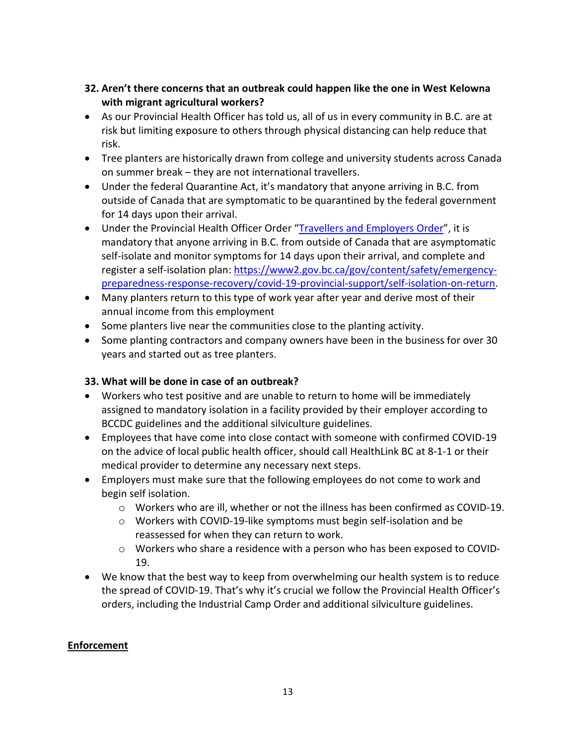### **32. Aren't there concerns that an outbreak could happen like the one in West Kelowna with migrant agricultural workers?**

- As our Provincial Health Officer has told us, all of us in every community in B.C. are at risk but limiting exposure to others through physical distancing can help reduce that risk.
- Tree planters are historically drawn from college and university students across Canada on summer break – they are not international travellers.
- Under the federal Quarantine Act, it's mandatory that anyone arriving in B.C. from outside of Canada that are symptomatic to be quarantined by the federal government for 14 days upon their arrival.
- Under the Provincial Health Officer Order ["Travellers and Employers Order"](https://www2.gov.bc.ca/assets/gov/health/about-bc-s-health-care-system/office-of-the-provincial-health-officer/covid-19/covid-19-pho-order-travellers-employers.pdf), it is mandatory that anyone arriving in B.C. from outside of Canada that are asymptomatic self-isolate and monitor symptoms for 14 days upon their arrival, and complete and register a self-isolation plan: [https://www2.gov.bc.ca/gov/content/safety/emergency](https://www2.gov.bc.ca/gov/content/safety/emergency-preparedness-response-recovery/covid-19-provincial-support/self-isolation-on-return)[preparedness-response-recovery/covid-19-provincial-support/self-isolation-on-return.](https://www2.gov.bc.ca/gov/content/safety/emergency-preparedness-response-recovery/covid-19-provincial-support/self-isolation-on-return)
- Many planters return to this type of work year after year and derive most of their annual income from this employment
- Some planters live near the communities close to the planting activity.
- Some planting contractors and company owners have been in the business for over 30 years and started out as tree planters.

#### **33. What will be done in case of an outbreak?**

- Workers who test positive and are unable to return to home will be immediately assigned to mandatory isolation in a facility provided by their employer according to BCCDC guidelines and the additional silviculture guidelines.
- Employees that have come into close contact with someone with confirmed COVID-19 on the advice of local public health officer, should call HealthLink BC at 8-1-1 or their medical provider to determine any necessary next steps.
- Employers must make sure that the following employees do not come to work and begin self isolation.
	- o Workers who are ill, whether or not the illness has been confirmed as COVID-19.
	- o Workers with COVID-19-like symptoms must begin self-isolation and be reassessed for when they can return to work.
	- $\circ$  Workers who share a residence with a person who has been exposed to COVID-19.
- We know that the best way to keep from overwhelming our health system is to reduce the spread of COVID-19. That's why it's crucial we follow the Provincial Health Officer's orders, including the Industrial Camp Order and additional silviculture guidelines.

#### **Enforcement**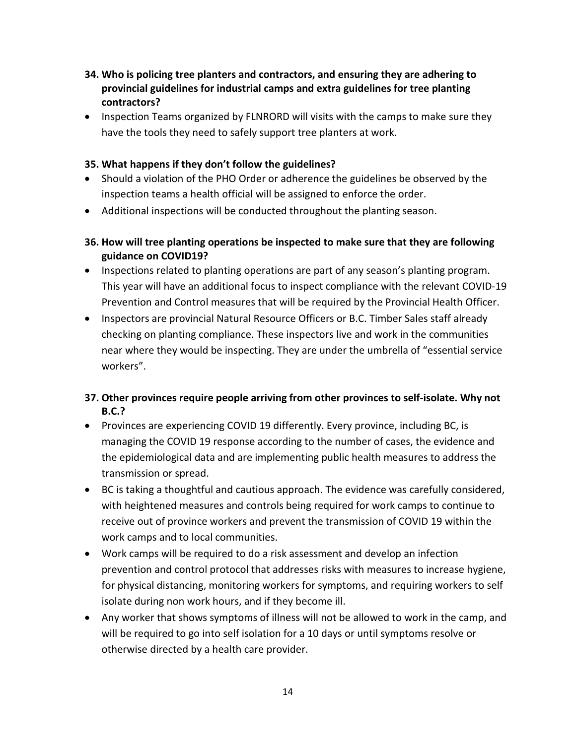- **34. Who is policing tree planters and contractors, and ensuring they are adhering to provincial guidelines for industrial camps and extra guidelines for tree planting contractors?**
- Inspection Teams organized by FLNRORD will visits with the camps to make sure they have the tools they need to safely support tree planters at work.

#### **35. What happens if they don't follow the guidelines?**

- Should a violation of the PHO Order or adherence the guidelines be observed by the inspection teams a health official will be assigned to enforce the order.
- Additional inspections will be conducted throughout the planting season.
- **36. How will tree planting operations be inspected to make sure that they are following guidance on COVID19?**
- Inspections related to planting operations are part of any season's planting program. This year will have an additional focus to inspect compliance with the relevant COVID-19 Prevention and Control measures that will be required by the Provincial Health Officer.
- Inspectors are provincial Natural Resource Officers or B.C. Timber Sales staff already checking on planting compliance. These inspectors live and work in the communities near where they would be inspecting. They are under the umbrella of "essential service workers".

# **37. Other provinces require people arriving from other provinces to self-isolate. Why not B.C.?**

- Provinces are experiencing COVID 19 differently. Every province, including BC, is managing the COVID 19 response according to the number of cases, the evidence and the epidemiological data and are implementing public health measures to address the transmission or spread.
- BC is taking a thoughtful and cautious approach. The evidence was carefully considered, with heightened measures and controls being required for work camps to continue to receive out of province workers and prevent the transmission of COVID 19 within the work camps and to local communities.
- Work camps will be required to do a risk assessment and develop an infection prevention and control protocol that addresses risks with measures to increase hygiene, for physical distancing, monitoring workers for symptoms, and requiring workers to self isolate during non work hours, and if they become ill.
- Any worker that shows symptoms of illness will not be allowed to work in the camp, and will be required to go into self isolation for a 10 days or until symptoms resolve or otherwise directed by a health care provider.